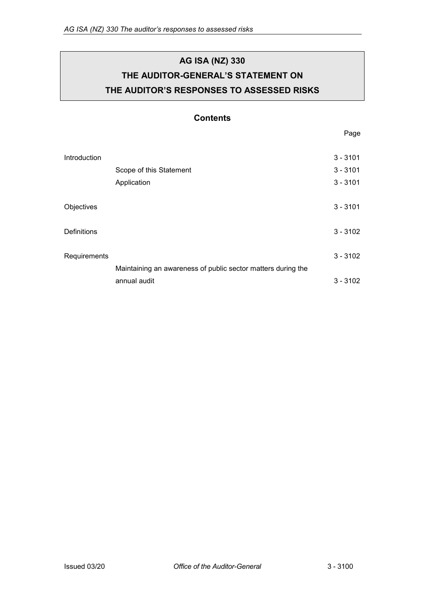# **AG ISA (NZ) 330 THE AUDITOR-GENERAL'S STATEMENT ON THE AUDITOR'S RESPONSES TO ASSESSED RISKS**

## **Contents**

Page

| Introduction |                                                              | $3 - 3101$ |
|--------------|--------------------------------------------------------------|------------|
|              | Scope of this Statement                                      | $3 - 3101$ |
|              | Application                                                  | $3 - 3101$ |
|              |                                                              |            |
| Objectives   |                                                              | $3 - 3101$ |
|              |                                                              |            |
| Definitions  |                                                              | $3 - 3102$ |
|              |                                                              |            |
| Requirements |                                                              | $3 - 3102$ |
|              | Maintaining an awareness of public sector matters during the |            |
|              | annual audit                                                 | $3 - 3102$ |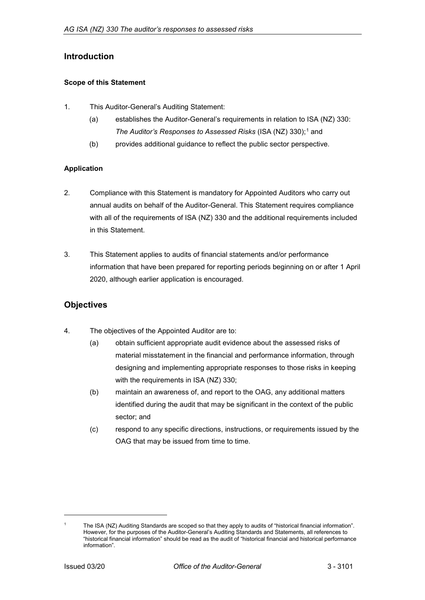## <span id="page-1-0"></span>**Introduction**

#### <span id="page-1-1"></span>**Scope of this Statement**

- 1. This Auditor-General's Auditing Statement:
	- (a) establishes the Auditor-General's requirements in relation to ISA (NZ) 330: *The Auditor's Responses to Assessed Risks* (ISA (NZ) 330);<sup>[1](#page-1-5)</sup> and
	- (b) provides additional guidance to reflect the public sector perspective.

#### <span id="page-1-2"></span>**Application**

- 2. Compliance with this Statement is mandatory for Appointed Auditors who carry out annual audits on behalf of the Auditor-General. This Statement requires compliance with all of the requirements of ISA (NZ) 330 and the additional requirements included in this Statement.
- 3. This Statement applies to audits of financial statements and/or performance information that have been prepared for reporting periods beginning on or after 1 April 2020, although earlier application is encouraged.

## <span id="page-1-3"></span>**Objectives**

- 4. The objectives of the Appointed Auditor are to:
	- (a) obtain sufficient appropriate audit evidence about the assessed risks of material misstatement in the financial and performance information, through designing and implementing appropriate responses to those risks in keeping with the requirements in ISA (NZ) 330;
	- (b) maintain an awareness of, and report to the OAG, any additional matters identified during the audit that may be significant in the context of the public sector; and
	- (c) respond to any specific directions, instructions, or requirements issued by the OAG that may be issued from time to time.

<span id="page-1-4"></span>-

<span id="page-1-5"></span>The ISA (NZ) Auditing Standards are scoped so that they apply to audits of "historical financial information". However, for the purposes of the Auditor-General's Auditing Standards and Statements, all references to "historical financial information" should be read as the audit of "historical financial and historical performance information".